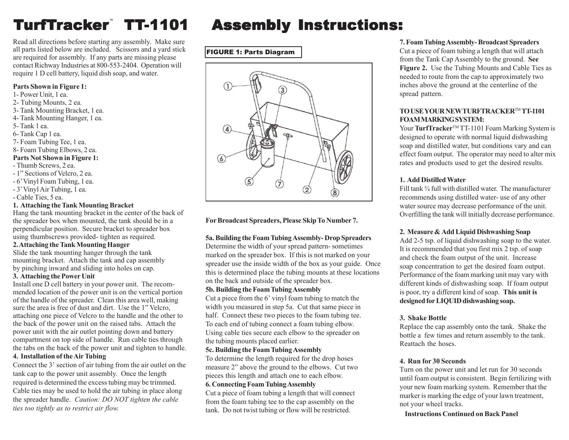# **TurfTrac**

Read all directions before starting any assembly. Make sure all parts listed below are included. Scissors and a yard stick are required for assembly. If any parts are missing please contact Richway Industries at 800-553-2404. Operation will require 1 D cell battery, liquid dish soap, and water.

#### **Parts Shown in Figure 1:**

- 1- Power Unit, 1 ea.
- 2- Tubing Mounts, 2 ea.
- 3- Tank Mounting Bracket, 1 ea.
- 4- Tank Mounting Hanger, 1 ea.
- 5- Tank 1 ea.
- 6- Tank Cap 1 ea.
- 7- Foam Tubing Tee, 1 ea.
- 8- Foam Tubing Elbows, 2 ea.

#### **Parts Not Shown in Figure 1:**

- Thumb Screws, 2 ea.
- 1" Sections of Velcro, 2 ea.
- 6' Vinyl Foam Tubing, 1 ea.
- 3' Vinyl Air Tubing, 1 ea.
- Cable Ties, 5 ea.

#### **1. Attaching the Tank Mounting Bracket**

Hang the tank mounting bracket in the center of the back of the spreader box when mounted, the tank should be in a perpendicular position. Secure bracket to spreader box using thumbscrews provided- tighten as required.

#### **2. Attaching the Tank Mounting Hanger**

Slide the tank mounting hanger through the tank mounting bracket. Attach the tank and cap assembly by pinching inward and sliding into holes on cap.

#### **3. Attaching the Power Unit**

Install one D cell battery in your power unit. The recommended location of the power unit is on the vertical portion of the handle of the spreader. Clean this area well, making sure the area is free of dust and dirt. Use the 1" Velcro, attaching one piece of Velcro to the handle and the other to the back of the power unit on the raised tabs. Attach the power unit with the air outlet pointing down and battery compartment on top side of handle. Run cable ties through the tabs on the back of the power unit and tighten to handle.

# **4. Installation of the Air Tubing**

Connect the 3' section of air tubing from the air outlet on the tank cap to the power unit assembly. Once the length required is determined the excess tubing may be trimmed. Cable ties may be used to hold the air tubing in place along the spreader handle. *Caution: DO NOT tighten the cable ties too tightly as to restrict air flow.*

# **Assembly Instructions:**

FIGURE 1: Parts Diagram



**For Broadcast Spreaders, Please Skip To Number 7.**

# **5a. Building the Foam Tubing Assembly- Drop Spreaders**

Determine the width of your spread pattern- sometimes marked on the spreader box. If this is not marked on your spreader use the inside width of the box as your guide. Once this is determined place the tubing mounts at these locations on the back and outside of the spreader box.

# **5b. Building the Foam Tubing Assembly**

Cut a piece from the 6' vinyl foam tubing to match the width you measured in step 5a. Cut that same piece in half. Connect these two pieces to the foam tubing tee. To each end of tubing connect a foam tubing elbow. Using cable ties secure each elbow to the spreader on the tubing mounts placed earlier.

# **5c. Building the Foam Tubing Assembly**

To determine the length required for the drop hoses measure 2" above the ground to the elbows. Cut two pieces this length and attach one to each elbow.

#### **6. Connecting Foam Tubing Assembly**

Cut a piece of foam tubing a length that will connect from the foam tubing tee to the cap assembly on the tank. Do not twist tubing or flow will be restricted.

# **7. Foam Tubing Assembly- Broadcast Spreaders**

Cut a piece of foam tubing a length that will attach from the Tank Cap Assembly to the ground. **See Figure 2.** Use the Tubing Mounts and Cable Ties as needed to route from the cap to approximately two inches above the ground at the centerline of the spread pattern.

# **TO USE YOUR NEW TURFTRACKER**TM **TT-1101 FOAM MARKING SYSTEM:**

Your **TurfTracker**<sup>™</sup> TT-1101 Foam Marking System is designed to operate with normal liquid dishwashing soap and distilled water, but conditions vary and can effect foam output. The operator may need to alter mix rates and products used to get the desired results.

# **1. Add Distilled Water**

Fill tank <sup>3</sup>/<sub>4</sub> full with distilled water. The manufacturer recommends using distilled water- use of any other water source may decrease performance of the unit. Overfilling the tank will initially decrease performance.

# **2. Measure & Add Liquid Dishwashing Soap**

Add 2-5 tsp. of liquid dishwashing soap to the water. It is recommended that you first mix 2 tsp. of soap and check the foam output of the unit. Increase soap concentration to get the desired foam output. Performance of the foam marking unit may vary with different kinds of dishwashing soap. If foam output is poor, try a different kind of soap. **This unit is designed for LIQUID dishwashing soap.**

# **3. Shake Bottle**

Replace the cap assembly onto the tank. Shake the bottle a few times and return assembly to the tank. Reattach the hoses.

# **4. Run for 30 Seconds**

Turn on the power unit and let run for 30 seconds until foam output is consistent. Begin fertilizing with your new foam marking system. Remember that the marker is marking the edge of your lawn treatment, not your wheel tracks.

 **Instructions Continued on Back Panel**